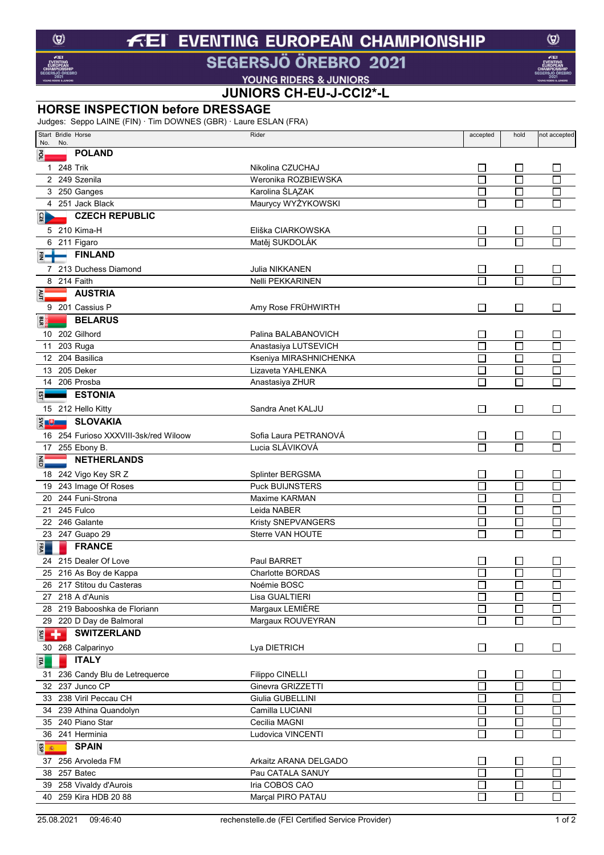### **EVENTING EUROPEAN CHAMPIONSHIP**  $f$ El

## SEGERSJÖ ÖREBRO 2021

**VOUNG RIDERS & JUNIORS<br>JUNIORS CH-EU-J-CCI2\*-L** 

### **HORSE INSPECTION before DRESSAGE**

Judges: Seppo LAINE (FIN) · Tim DOWNES (GBR) · Laure ESLAN (FRA)

| No.                         |     | Start Bridle Horse                               | Rider                                   | accepted                    | hold                     | not accepted |
|-----------------------------|-----|--------------------------------------------------|-----------------------------------------|-----------------------------|--------------------------|--------------|
| por                         | No. | <b>POLAND</b>                                    |                                         |                             |                          |              |
|                             |     |                                                  |                                         |                             |                          |              |
|                             |     | 1 248 Trik                                       | Nikolina CZUCHAJ<br>Weronika ROZBIEWSKA | $\mathbb{R}^n$              | $\Box$<br>$\Box$         | $\mathsf{L}$ |
|                             |     | 2 249 Szenila                                    |                                         | Г                           | $\Box$                   |              |
|                             |     | 3 250 Ganges                                     | Karolina ŚLĄZAK                         | $\Box$                      | $\Box$                   |              |
|                             |     | 4 251 Jack Black                                 | Maurycy WYŻYKOWSKI                      |                             |                          | □            |
| $\overline{121}$            |     | <b>CZECH REPUBLIC</b>                            |                                         |                             |                          |              |
|                             |     | 5 210 Kima-H                                     | Eliška CIARKOWSKA                       |                             | $\Box$                   |              |
|                             |     | 6 211 Figaro                                     | Matěj SUKDOLÁK                          |                             | П                        |              |
| E-                          |     | <b>FINLAND</b>                                   |                                         |                             |                          |              |
|                             |     | 7 213 Duchess Diamond                            | Julia NIKKANEN                          | $\Box$                      | $\Box$                   |              |
|                             |     | 8 214 Faith                                      | Nelli PEKKARINEN                        | П                           | П                        |              |
| ξ                           |     | <b>AUSTRIA</b>                                   |                                         |                             |                          |              |
|                             |     | 9 201 Cassius P                                  | Amy Rose FRÜHWIRTH                      | $\mathbf{I}$                | ⊔                        | $\mathsf{L}$ |
|                             |     | <b>BELARUS</b>                                   |                                         |                             |                          |              |
|                             |     | 10 202 Gilhord                                   | Palina BALABANOVICH                     |                             |                          |              |
|                             |     |                                                  |                                         | $\Box$                      | $\Box$                   |              |
|                             |     | 11 203 Ruga                                      | Anastasiya LUTSEVICH                    |                             | ⊏                        |              |
|                             |     | 12 204 Basilica                                  | Kseniya MIRASHNICHENKA                  |                             | ⊏                        |              |
|                             |     | 13 205 Deker                                     | Lizaveta YAHLENKA                       | П                           | $\Box$                   | $\Box$       |
|                             |     | 14 206 Prosba                                    | Anastasiya ZHUR                         | П                           | $\Box$                   | $\Box$       |
|                             |     | <b>ESTONIA</b>                                   |                                         |                             |                          |              |
|                             |     | 15 212 Hello Kitty                               | Sandra Anet KALJU                       | $\Box$                      | $\Box$                   | $\Box$       |
| $\frac{1}{2}$ $\frac{1}{2}$ |     | <b>SLOVAKIA</b>                                  |                                         |                             |                          |              |
|                             |     | 16 254 Furioso XXXVIII-3sk/red Wiloow            | Sofia Laura PETRANOVÁ                   | $\Box$                      | $\Box$                   |              |
|                             |     | 17 255 Ebony B.                                  | Lucia SLÁVIKOVÁ                         |                             | $\Box$                   |              |
| <b>NED</b>                  |     | <b>NETHERLANDS</b>                               |                                         |                             |                          |              |
|                             |     |                                                  |                                         |                             |                          |              |
|                             |     | 18 242 Vigo Key SR Z                             | Splinter BERGSMA                        |                             | $\Box$                   |              |
|                             |     | 19 243 Image Of Roses                            | <b>Puck BUIJNSTERS</b>                  |                             | $\overline{\Box}$        |              |
|                             |     | 20 244 Funi-Strona                               | Maxime KARMAN                           |                             | $\Box$                   |              |
|                             |     | 21 245 Fulco                                     | Leida NABER                             | $\Box$                      | Г                        | П            |
|                             |     | 22 246 Galante                                   | Kristy SNEPVANGERS                      | $\Box$                      | $\Box$                   | $\Box$       |
|                             |     | 23 247 Guapo 29                                  | Sterre VAN HOUTE                        | П                           | П                        | $\Box$       |
| FRA                         |     | <b>FRANCE</b>                                    |                                         |                             |                          |              |
|                             |     | 24 215 Dealer Of Love                            | Paul BARRET                             |                             | $\overline{\phantom{a}}$ |              |
|                             |     | 25 216 As Boy de Kappa                           | <b>Charlotte BORDAS</b>                 |                             | $\Box$                   |              |
|                             |     | 217 Stitou du Casteras                           | Noémie BOSC                             |                             |                          |              |
|                             |     | 27 218 A d'Aunis                                 | Lisa GUALTIERI                          |                             | $\Box$                   | П            |
|                             |     | 28 219 Babooshka de Floriann                     | Margaux LEMIÈRE                         | П                           | $\Box$                   | □            |
|                             |     | 29 220 D Day de Balmoral                         | Margaux ROUVEYRAN                       | $\Box$                      | $\Box$                   | $\Box$       |
| $E +$                       |     | <b>SWITZERLAND</b>                               |                                         |                             |                          |              |
|                             |     |                                                  |                                         |                             |                          |              |
|                             |     | 30 268 Calparinyo                                | Lya DIETRICH                            | $\Box$                      | $\Box$                   | ⊔            |
| $\vert \vec{z} \vert$       |     | <b>ITALY</b>                                     |                                         |                             |                          |              |
|                             |     | 31 236 Candy Blu de Letrequerce                  | Filippo CINELLI                         | $\Box$                      | $\Box$                   | $\Box$       |
|                             |     | 32 237 Junco CP                                  | Ginevra GRIZZETTI                       | Ò                           | $\overline{\Box}$        | П            |
|                             |     | 33 238 Viril Peccau CH                           | Giulia GUBELLINI                        | $\Box$                      | $\Box$                   | $\Box$       |
|                             |     | 34 239 Athina Quandolyn                          | Camilla LUCIANI                         | П                           | $\Box$                   | $\Box$       |
|                             |     | 35 240 Piano Star                                | Cecilia MAGNI                           | $\Box$                      | $\Box$                   | $\Box$       |
|                             |     | 36 241 Herminia                                  | Ludovica VINCENTI                       | П                           | $\Box$                   | $\Box$       |
| 9 8 1                       |     | <b>SPAIN</b>                                     |                                         |                             |                          |              |
|                             |     | 37 256 Arvoleda FM                               | Arkaitz ARANA DELGADO                   | $\mathcal{L}_{\mathcal{A}}$ | $\Box$                   |              |
|                             |     | 38 257 Batec                                     | Pau CATALA SANUY                        | E.                          | $\Box$                   | $\Box$       |
|                             |     |                                                  |                                         | $\Box$                      | $\Box$                   |              |
|                             |     | 39 258 Vivaldy d'Aurois<br>40 259 Kira HDB 20 88 | Iria COBOS CAO                          | П                           | $\Box$                   | $\Box$       |
|                             |     |                                                  | Marçal PIRO PATAU                       |                             |                          | $\Box$       |

 $\circledcirc$